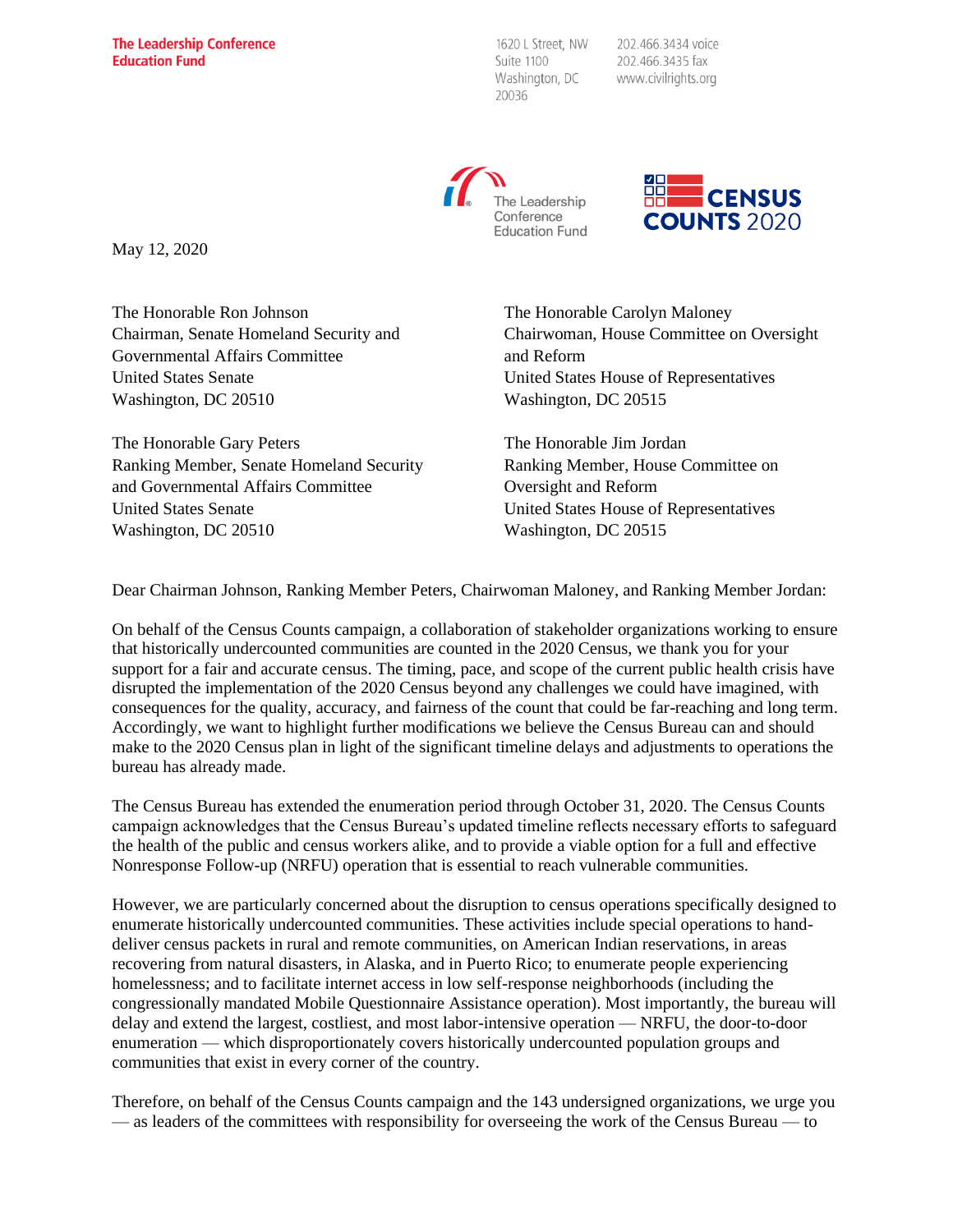1620 L Street, NW Suite 1100 Washington, DC 20036

202.466.3434 voice 202.466.3435 fax www.civilrights.org





May 12, 2020

The Honorable Ron Johnson Chairman, Senate Homeland Security and Governmental Affairs Committee United States Senate Washington, DC 20510

The Honorable Gary Peters Ranking Member, Senate Homeland Security and Governmental Affairs Committee United States Senate Washington, DC 20510

The Honorable Carolyn Maloney Chairwoman, House Committee on Oversight and Reform United States House of Representatives Washington, DC 20515

The Honorable Jim Jordan Ranking Member, House Committee on Oversight and Reform United States House of Representatives Washington, DC 20515

Dear Chairman Johnson, Ranking Member Peters, Chairwoman Maloney, and Ranking Member Jordan:

On behalf of the Census Counts campaign, a collaboration of stakeholder organizations working to ensure that historically undercounted communities are counted in the 2020 Census, we thank you for your support for a fair and accurate census. The timing, pace, and scope of the current public health crisis have disrupted the implementation of the 2020 Census beyond any challenges we could have imagined, with consequences for the quality, accuracy, and fairness of the count that could be far-reaching and long term. Accordingly, we want to highlight further modifications we believe the Census Bureau can and should make to the 2020 Census plan in light of the significant timeline delays and adjustments to operations the bureau has already made.

The Census Bureau has extended the enumeration period through October 31, 2020. The Census Counts campaign acknowledges that the Census Bureau's updated timeline reflects necessary efforts to safeguard the health of the public and census workers alike, and to provide a viable option for a full and effective Nonresponse Follow-up (NRFU) operation that is essential to reach vulnerable communities.

However, we are particularly concerned about the disruption to census operations specifically designed to enumerate historically undercounted communities. These activities include special operations to handdeliver census packets in rural and remote communities, on American Indian reservations, in areas recovering from natural disasters, in Alaska, and in Puerto Rico; to enumerate people experiencing homelessness; and to facilitate internet access in low self-response neighborhoods (including the congressionally mandated Mobile Questionnaire Assistance operation). Most importantly, the bureau will delay and extend the largest, costliest, and most labor-intensive operation — NRFU, the door-to-door enumeration — which disproportionately covers historically undercounted population groups and communities that exist in every corner of the country.

Therefore, on behalf of the Census Counts campaign and the 143 undersigned organizations, we urge you — as leaders of the committees with responsibility for overseeing the work of the Census Bureau — to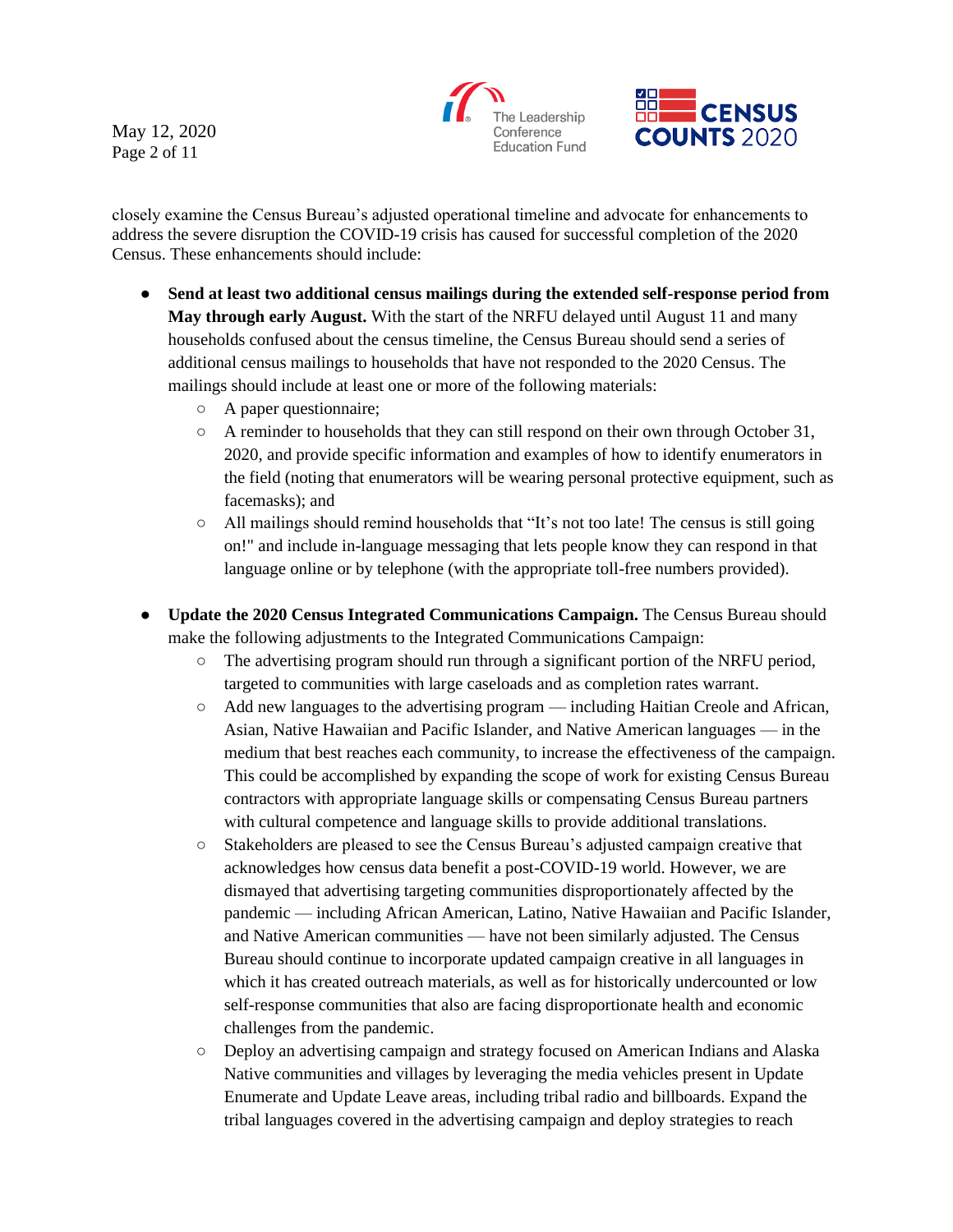The Leadership Conference **Education Fund** 



closely examine the Census Bureau's adjusted operational timeline and advocate for enhancements to address the severe disruption the COVID-19 crisis has caused for successful completion of the 2020 Census. These enhancements should include:

- **Send at least two additional census mailings during the extended self-response period from May through early August.** With the start of the NRFU delayed until August 11 and many households confused about the census timeline, the Census Bureau should send a series of additional census mailings to households that have not responded to the 2020 Census. The mailings should include at least one or more of the following materials:
	- A paper questionnaire;
	- $\circ$  A reminder to households that they can still respond on their own through October 31, 2020, and provide specific information and examples of how to identify enumerators in the field (noting that enumerators will be wearing personal protective equipment, such as facemasks); and
	- $\circ$  All mailings should remind households that "It's not too late! The census is still going on!" and include in-language messaging that lets people know they can respond in that language online or by telephone (with the appropriate toll-free numbers provided).
- **Update the 2020 Census Integrated Communications Campaign.** The Census Bureau should make the following adjustments to the Integrated Communications Campaign:
	- $\circ$  The advertising program should run through a significant portion of the NRFU period, targeted to communities with large caseloads and as completion rates warrant.
	- Add new languages to the advertising program including Haitian Creole and African, Asian, Native Hawaiian and Pacific Islander, and Native American languages — in the medium that best reaches each community, to increase the effectiveness of the campaign. This could be accomplished by expanding the scope of work for existing Census Bureau contractors with appropriate language skills or compensating Census Bureau partners with cultural competence and language skills to provide additional translations.
	- Stakeholders are pleased to see the Census Bureau's adjusted campaign creative that acknowledges how census data benefit a post-COVID-19 world. However, we are dismayed that advertising targeting communities disproportionately affected by the pandemic — including African American, Latino, Native Hawaiian and Pacific Islander, and Native American communities — have not been similarly adjusted. The Census Bureau should continue to incorporate updated campaign creative in all languages in which it has created outreach materials, as well as for historically undercounted or low self-response communities that also are facing disproportionate health and economic challenges from the pandemic.
	- Deploy an advertising campaign and strategy focused on American Indians and Alaska Native communities and villages by leveraging the media vehicles present in Update Enumerate and Update Leave areas, including tribal radio and billboards. Expand the tribal languages covered in the advertising campaign and deploy strategies to reach

May 12, 2020 Page 2 of 11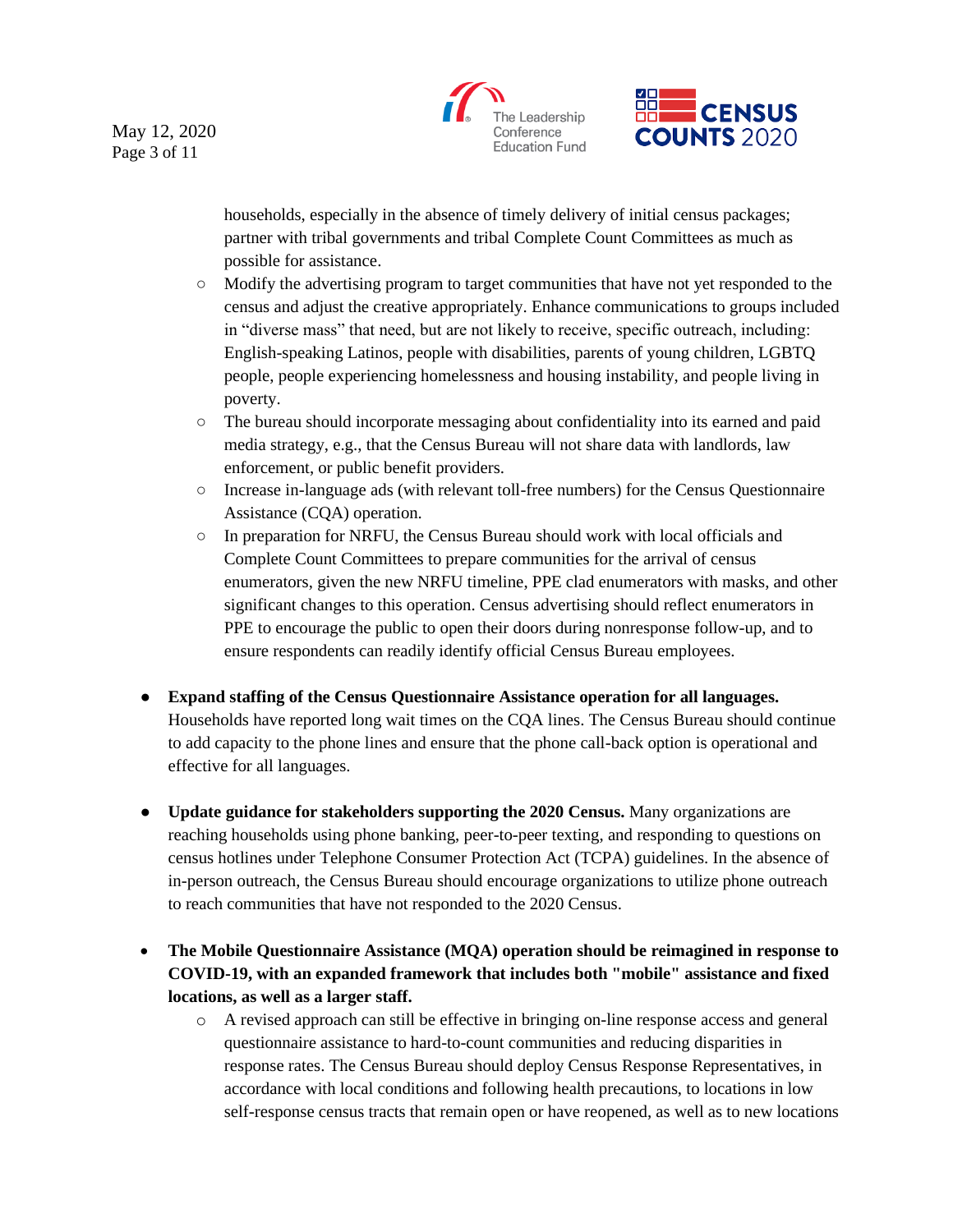



households, especially in the absence of timely delivery of initial census packages; partner with tribal governments and tribal Complete Count Committees as much as possible for assistance.

- Modify the advertising program to target communities that have not yet responded to the census and adjust the creative appropriately. Enhance communications to groups included in "diverse mass" that need, but are not likely to receive, specific outreach, including: English-speaking Latinos, people with disabilities, parents of young children, LGBTQ people, people experiencing homelessness and housing instability, and people living in poverty.
- The bureau should incorporate messaging about confidentiality into its earned and paid media strategy, e.g., that the Census Bureau will not share data with landlords, law enforcement, or public benefit providers.
- Increase in-language ads (with relevant toll-free numbers) for the Census Questionnaire Assistance (CQA) operation.
- In preparation for NRFU, the Census Bureau should work with local officials and Complete Count Committees to prepare communities for the arrival of census enumerators, given the new NRFU timeline, PPE clad enumerators with masks, and other significant changes to this operation. Census advertising should reflect enumerators in PPE to encourage the public to open their doors during nonresponse follow-up, and to ensure respondents can readily identify official Census Bureau employees.
- **Expand staffing of the Census Questionnaire Assistance operation for all languages.** Households have reported long wait times on the CQA lines. The Census Bureau should continue to add capacity to the phone lines and ensure that the phone call-back option is operational and effective for all languages.
- **Update guidance for stakeholders supporting the 2020 Census.** Many organizations are reaching households using phone banking, peer-to-peer texting, and responding to questions on census hotlines under Telephone Consumer Protection Act (TCPA) guidelines. In the absence of in-person outreach, the Census Bureau should encourage organizations to utilize phone outreach to reach communities that have not responded to the 2020 Census.
- **The Mobile Questionnaire Assistance (MQA) operation should be reimagined in response to COVID-19, with an expanded framework that includes both "mobile" assistance and fixed locations, as well as a larger staff.**
	- o A revised approach can still be effective in bringing on-line response access and general questionnaire assistance to hard-to-count communities and reducing disparities in response rates. The Census Bureau should deploy Census Response Representatives, in accordance with local conditions and following health precautions, to locations in low self-response census tracts that remain open or have reopened, as well as to new locations

May 12, 2020 Page 3 of 11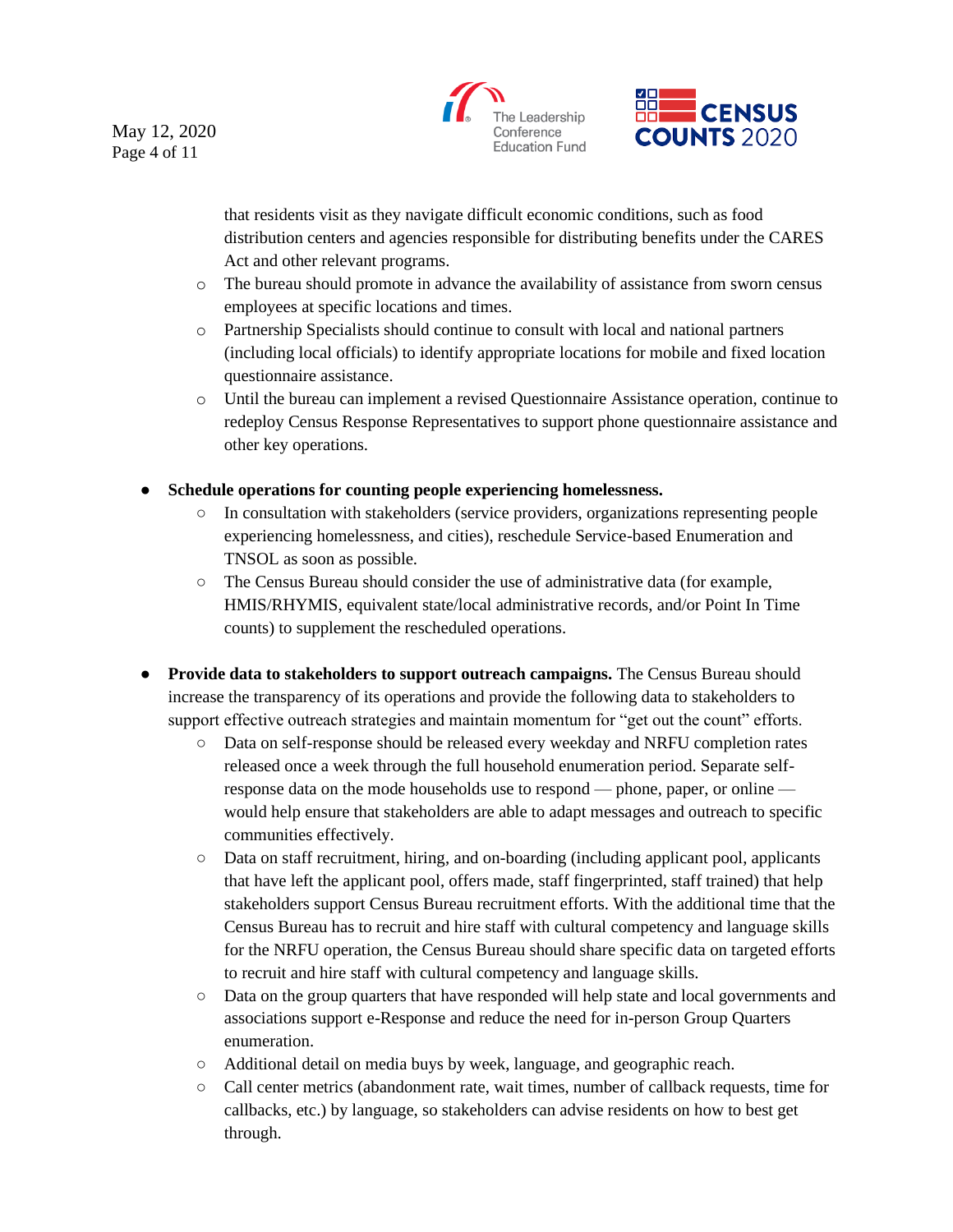May 12, 2020 Page 4 of 11





that residents visit as they navigate difficult economic conditions, such as food distribution centers and agencies responsible for distributing benefits under the CARES Act and other relevant programs.

- o The bureau should promote in advance the availability of assistance from sworn census employees at specific locations and times.
- o Partnership Specialists should continue to consult with local and national partners (including local officials) to identify appropriate locations for mobile and fixed location questionnaire assistance.
- o Until the bureau can implement a revised Questionnaire Assistance operation, continue to redeploy Census Response Representatives to support phone questionnaire assistance and other key operations.
- **Schedule operations for counting people experiencing homelessness.** 
	- In consultation with stakeholders (service providers, organizations representing people experiencing homelessness, and cities), reschedule Service-based Enumeration and TNSOL as soon as possible.
	- The Census Bureau should consider the use of administrative data (for example, HMIS/RHYMIS, equivalent state/local administrative records, and/or Point In Time counts) to supplement the rescheduled operations.
- **Provide data to stakeholders to support outreach campaigns.** The Census Bureau should increase the transparency of its operations and provide the following data to stakeholders to support effective outreach strategies and maintain momentum for "get out the count" efforts.
	- Data on self-response should be released every weekday and NRFU completion rates released once a week through the full household enumeration period. Separate selfresponse data on the mode households use to respond — phone, paper, or online would help ensure that stakeholders are able to adapt messages and outreach to specific communities effectively.
	- Data on staff recruitment, hiring, and on-boarding (including applicant pool, applicants that have left the applicant pool, offers made, staff fingerprinted, staff trained) that help stakeholders support Census Bureau recruitment efforts. With the additional time that the Census Bureau has to recruit and hire staff with cultural competency and language skills for the NRFU operation, the Census Bureau should share specific data on targeted efforts to recruit and hire staff with cultural competency and language skills.
	- Data on the group quarters that have responded will help state and local governments and associations support e-Response and reduce the need for in-person Group Quarters enumeration.
	- Additional detail on media buys by week, language, and geographic reach.
	- Call center metrics (abandonment rate, wait times, number of callback requests, time for callbacks, etc.) by language, so stakeholders can advise residents on how to best get through.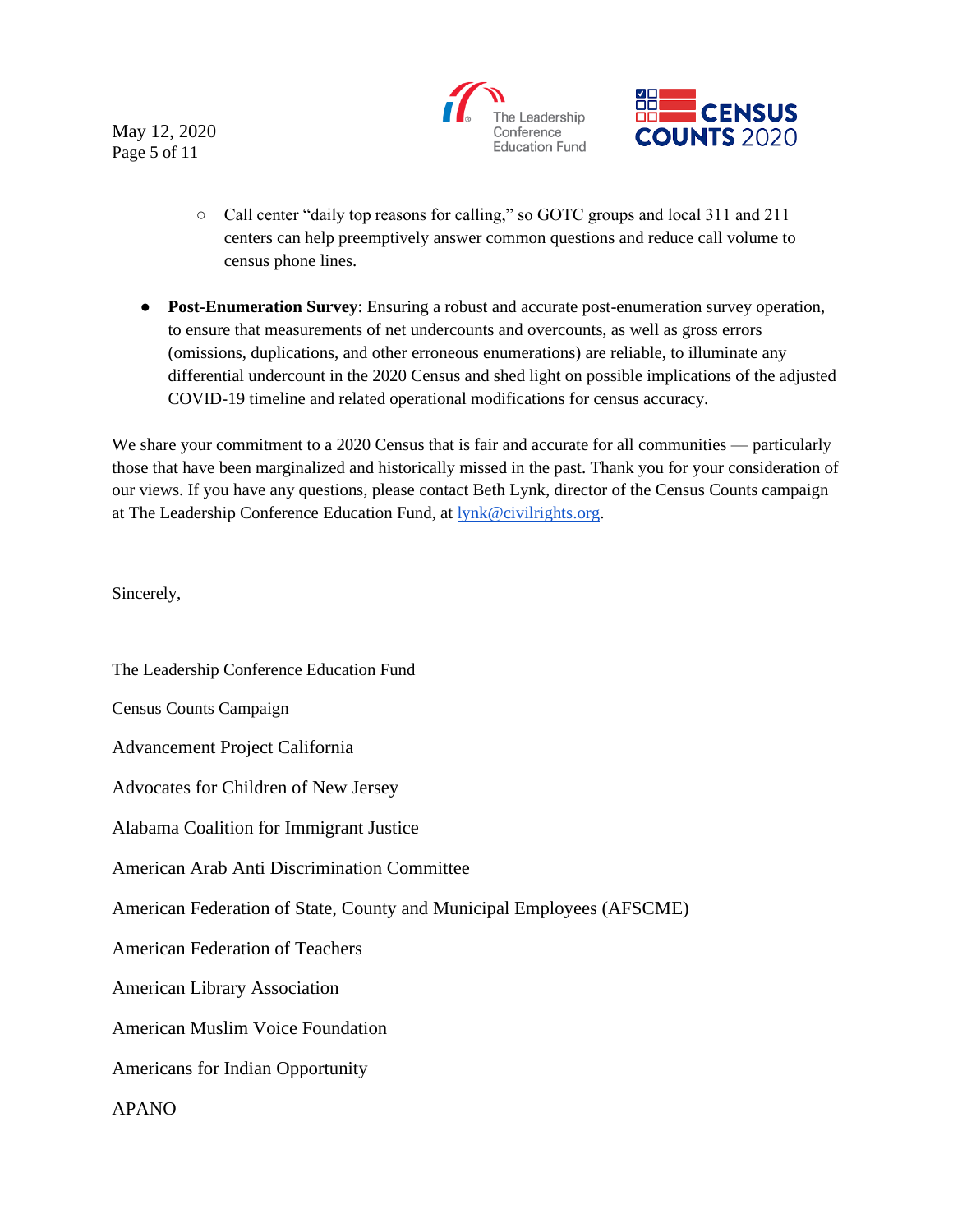May 12, 2020 Page 5 of 11





- Call center "daily top reasons for calling," so GOTC groups and local 311 and 211 centers can help preemptively answer common questions and reduce call volume to census phone lines.
- **Post-Enumeration Survey**: Ensuring a robust and accurate post-enumeration survey operation, to ensure that measurements of net undercounts and overcounts, as well as gross errors (omissions, duplications, and other erroneous enumerations) are reliable, to illuminate any differential undercount in the 2020 Census and shed light on possible implications of the adjusted COVID-19 timeline and related operational modifications for census accuracy.

We share your commitment to a 2020 Census that is fair and accurate for all communities — particularly those that have been marginalized and historically missed in the past. Thank you for your consideration of our views. If you have any questions, please contact Beth Lynk, director of the Census Counts campaign at The Leadership Conference Education Fund, at [lynk@civilrights.org.](mailto:lynk@civilrights.org)

Sincerely,

The Leadership Conference Education Fund Census Counts Campaign Advancement Project California Advocates for Children of New Jersey Alabama Coalition for Immigrant Justice American Arab Anti Discrimination Committee American Federation of State, County and Municipal Employees (AFSCME) American Federation of Teachers American Library Association American Muslim Voice Foundation Americans for Indian Opportunity APANO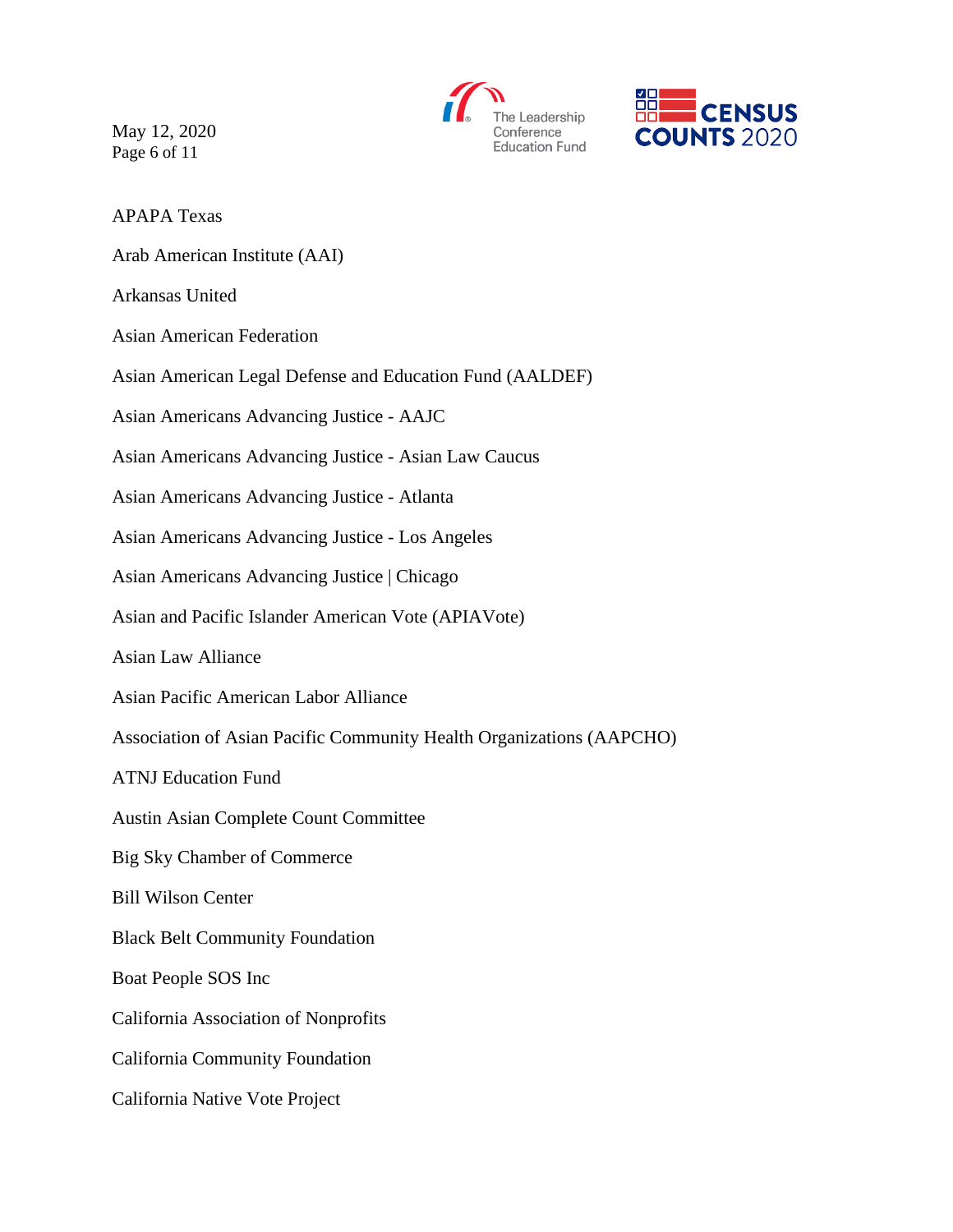May 12, 2020 Page 6 of 11





APAPA Texas

Arab American Institute (AAI)

Arkansas United

Asian American Federation

Asian American Legal Defense and Education Fund (AALDEF)

Asian Americans Advancing Justice - AAJC

Asian Americans Advancing Justice - Asian Law Caucus

Asian Americans Advancing Justice - Atlanta

Asian Americans Advancing Justice - Los Angeles

Asian Americans Advancing Justice | Chicago

Asian and Pacific Islander American Vote (APIAVote)

Asian Law Alliance

Asian Pacific American Labor Alliance

Association of Asian Pacific Community Health Organizations (AAPCHO)

ATNJ Education Fund

Austin Asian Complete Count Committee

Big Sky Chamber of Commerce

Bill Wilson Center

Black Belt Community Foundation

Boat People SOS Inc

California Association of Nonprofits

California Community Foundation

California Native Vote Project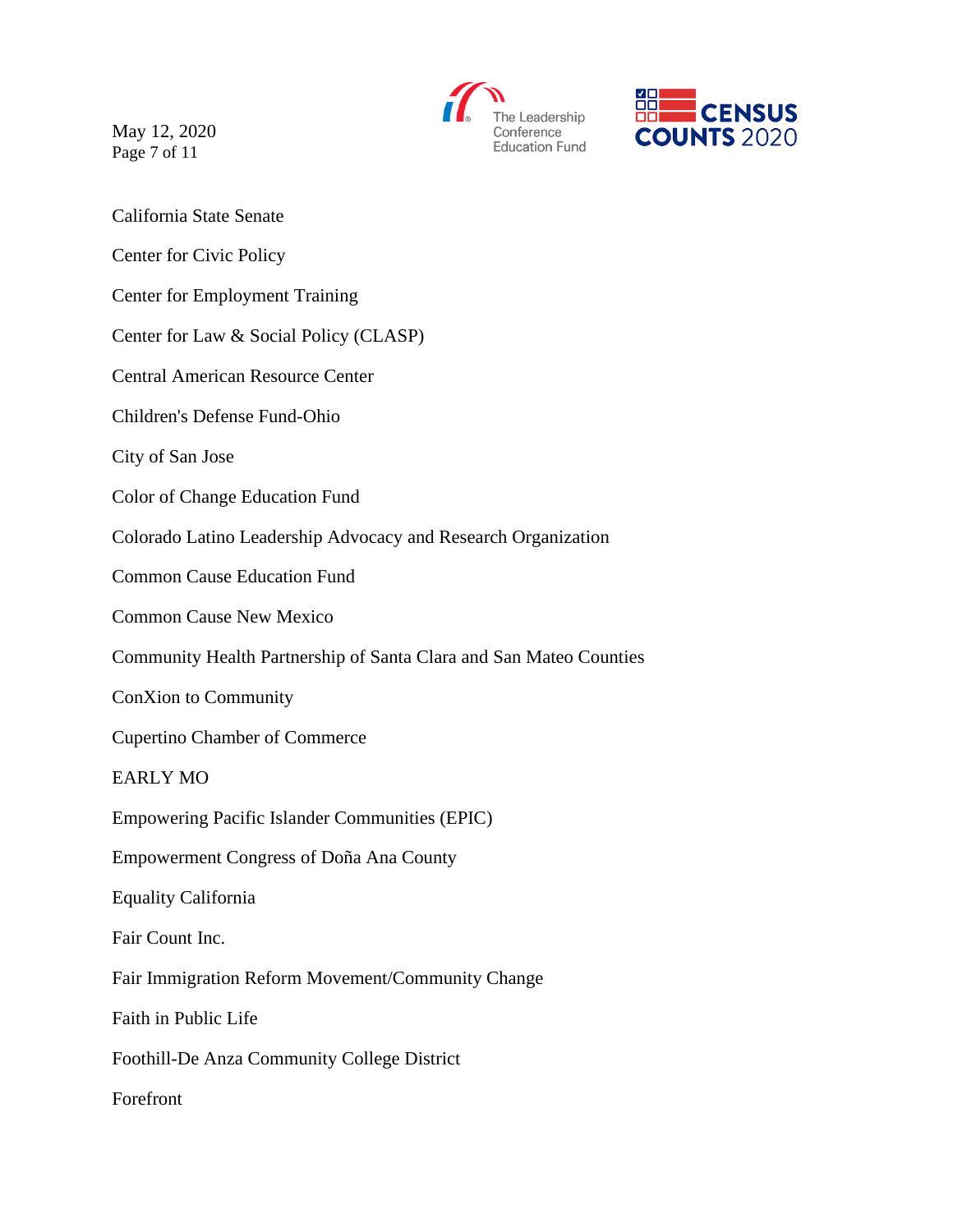May 12, 2020 Page 7 of 11





- California State Senate
- Center for Civic Policy
- Center for Employment Training
- Center for Law & Social Policy (CLASP)
- Central American Resource Center
- Children's Defense Fund-Ohio
- City of San Jose
- Color of Change Education Fund
- Colorado Latino Leadership Advocacy and Research Organization
- Common Cause Education Fund
- Common Cause New Mexico
- Community Health Partnership of Santa Clara and San Mateo Counties
- ConXion to Community
- Cupertino Chamber of Commerce
- EARLY MO
- Empowering Pacific Islander Communities (EPIC)
- Empowerment Congress of Doña Ana County
- Equality California
- Fair Count Inc.
- Fair Immigration Reform Movement/Community Change
- Faith in Public Life
- Foothill-De Anza Community College District
- Forefront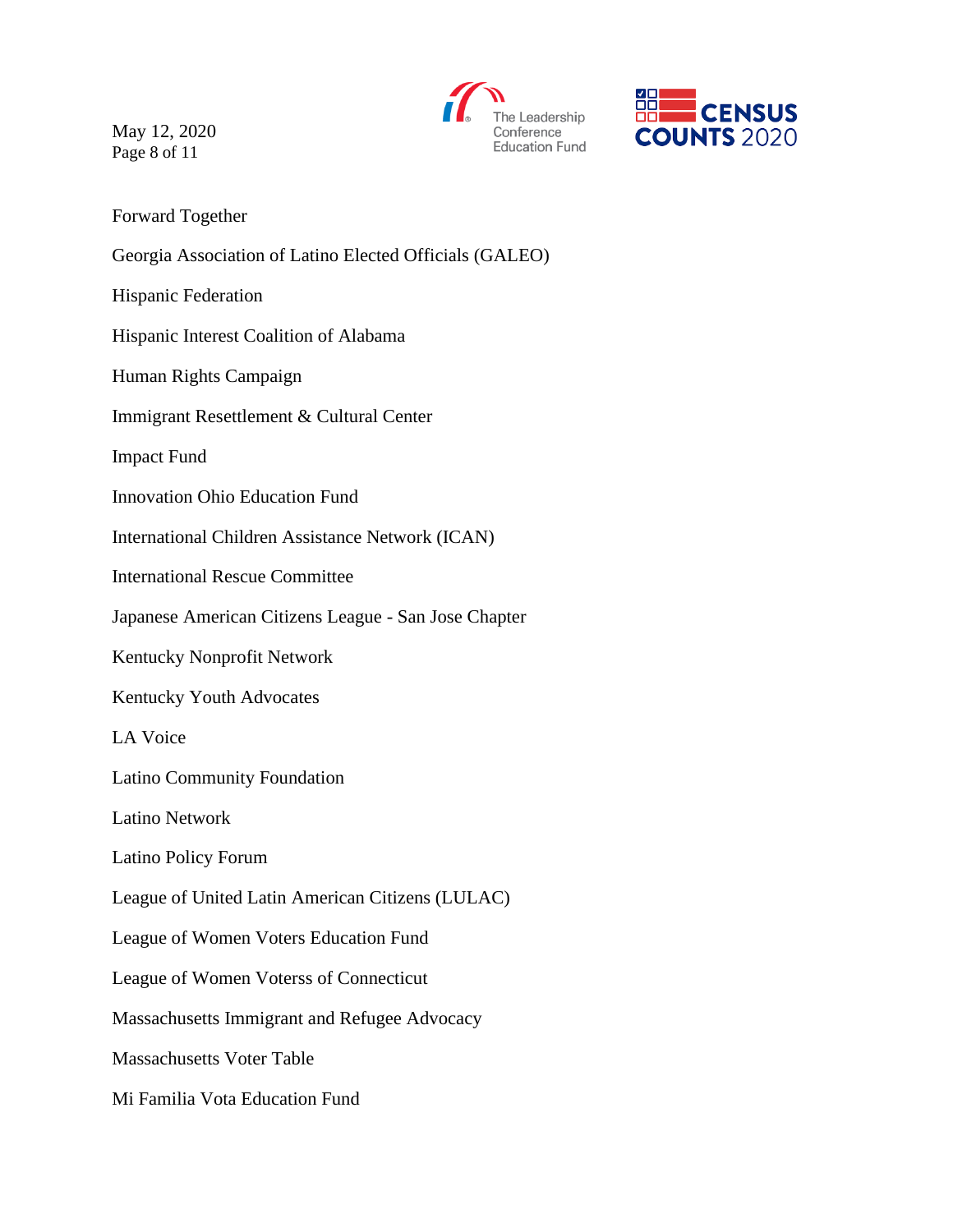



May 12, 2020 Page 8 of 11

Forward Together

Georgia Association of Latino Elected Officials (GALEO)

Hispanic Federation

Hispanic Interest Coalition of Alabama

Human Rights Campaign

Immigrant Resettlement & Cultural Center

Impact Fund

Innovation Ohio Education Fund

International Children Assistance Network (ICAN)

International Rescue Committee

Japanese American Citizens League - San Jose Chapter

Kentucky Nonprofit Network

Kentucky Youth Advocates

LA Voice

Latino Community Foundation

Latino Network

Latino Policy Forum

League of United Latin American Citizens (LULAC)

League of Women Voters Education Fund

League of Women Voterss of Connecticut

Massachusetts Immigrant and Refugee Advocacy

Massachusetts Voter Table

Mi Familia Vota Education Fund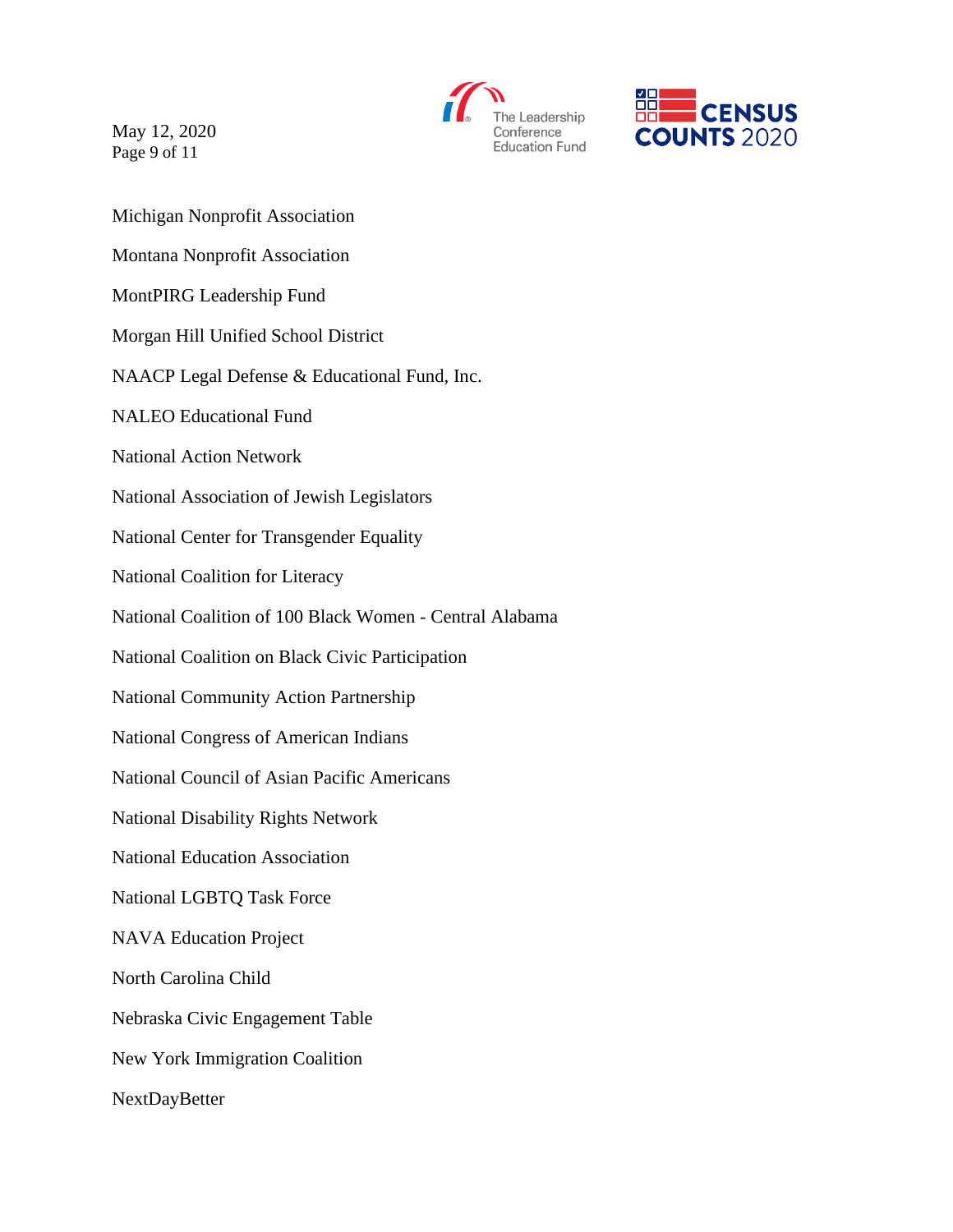May 12, 2020 Page 9 of 11





Michigan Nonprofit Association Montana Nonprofit Association MontPIRG Leadership Fund Morgan Hill Unified School District NAACP Legal Defense & Educational Fund, Inc. NALEO Educational Fund National Action Network National Association of Jewish Legislators National Center for Transgender Equality National Coalition for Literacy National Coalition of 100 Black Women - Central Alabama National Coalition on Black Civic Participation National Community Action Partnership National Congress of American Indians National Council of Asian Pacific Americans National Disability Rights Network National Education Association National LGBTQ Task Force NAVA Education Project North Carolina Child Nebraska Civic Engagement Table New York Immigration Coalition NextDayBetter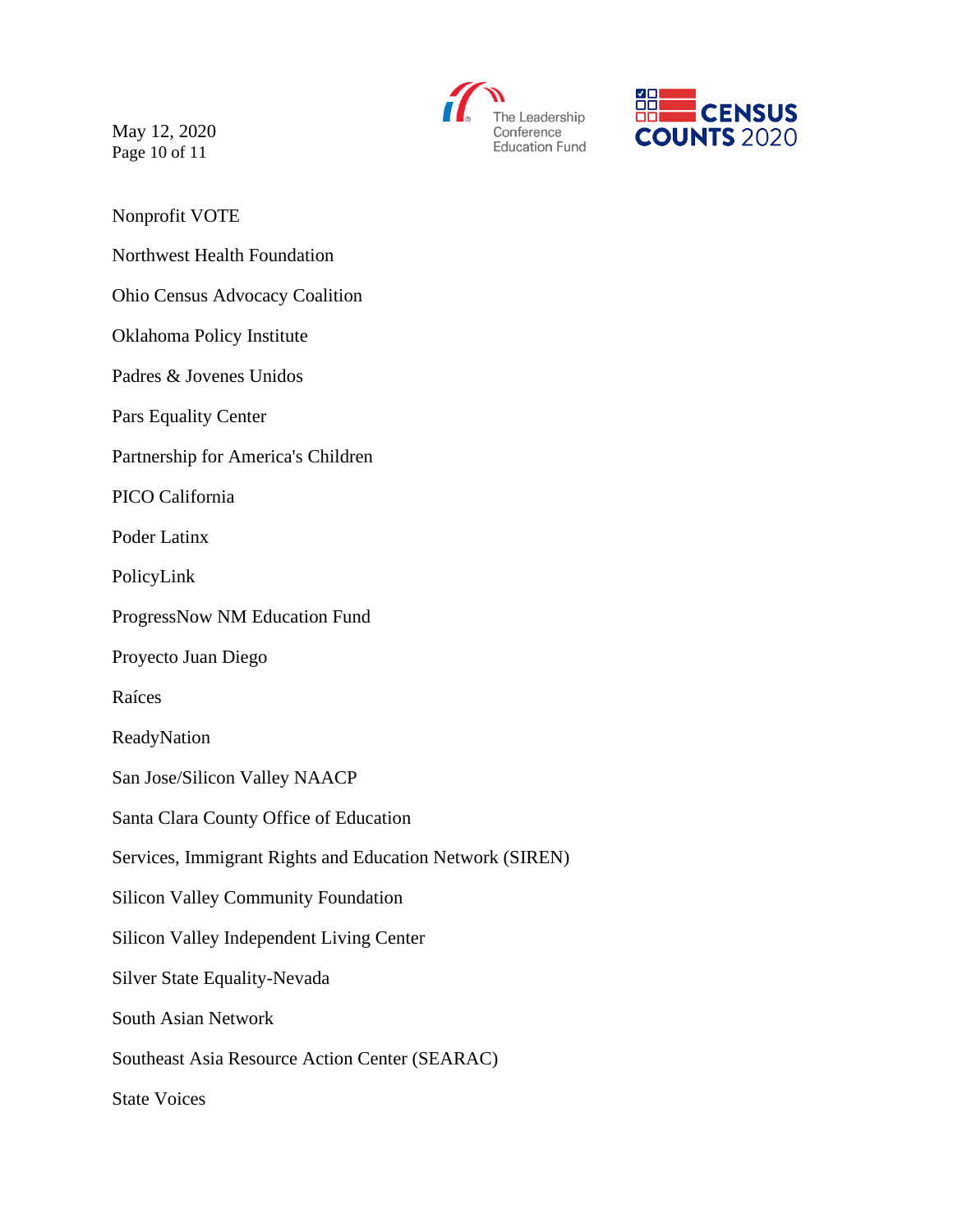



May 12, 2020 Page 10 of 11

Nonprofit VOTE

Northwest Health Foundation

Ohio Census Advocacy Coalition

Oklahoma Policy Institute

Padres & Jovenes Unidos

Pars Equality Center

Partnership for America's Children

PICO California

Poder Latinx

PolicyLink

ProgressNow NM Education Fund

Proyecto Juan Diego

Raíces

ReadyNation

San Jose/Silicon Valley NAACP

Santa Clara County Office of Education

Services, Immigrant Rights and Education Network (SIREN)

Silicon Valley Community Foundation

Silicon Valley Independent Living Center

Silver State Equality-Nevada

South Asian Network

Southeast Asia Resource Action Center (SEARAC)

State Voices